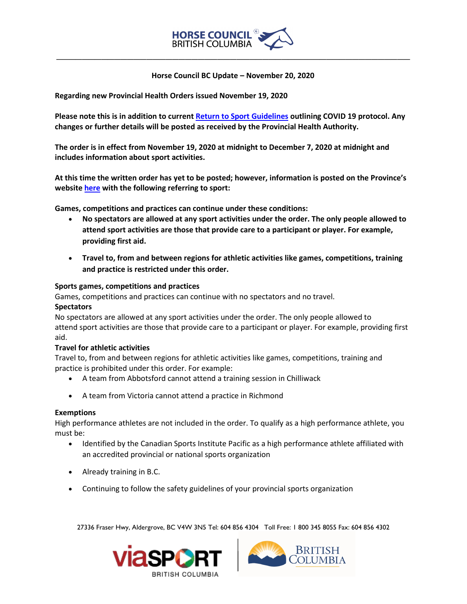

 **Horse Council BC Update – November 20, 2020**

**\_\_\_\_\_\_\_\_\_\_\_\_\_\_\_\_\_\_\_\_\_\_\_\_\_\_\_\_\_\_\_\_\_\_\_\_\_\_\_\_\_\_\_\_\_\_\_\_\_\_\_\_\_\_\_**

**Regarding new Provincial Health Orders issued November 19, 2020**

**Please note this is in addition to curren[t Return to Sport Guidelines](https://hcbc.ca/news-events/return-to-sport/) outlining COVID 19 protocol. Any changes or further details will be posted as received by the Provincial Health Authority.**

**The order is in effect from November 19, 2020 at midnight to December 7, 2020 at midnight and includes information about sport activities.**

**At this time the written order has yet to be posted; however, information is posted on the Province's websit[e here](https://viasport.us3.list-manage.com/track/click?u=b9a426897badc62c6c9b3bad4&id=4b510d23b9&e=5c2c81bcc2) with the following referring to sport:**

**Games, competitions and practices can continue under these conditions:**

- **No spectators are allowed at any sport activities under the order. The only people allowed to attend sport activities are those that provide care to a participant or player. For example, providing first aid.**
- **Travel to, from and between regions for athletic activities like games, competitions, training and practice is restricted under this order.**

## **Sports games, competitions and practices**

Games, competitions and practices can continue with no spectators and no travel.

### **Spectators**

No spectators are allowed at any sport activities under the order. The only people allowed to attend sport activities are those that provide care to a participant or player. For example, providing first aid.

# **Travel for athletic activities**

Travel to, from and between regions for athletic activities like games, competitions, training and practice is prohibited under this order. For example:

- A team from Abbotsford cannot attend a training session in Chilliwack
- A team from Victoria cannot attend a practice in Richmond

### **Exemptions**

High performance athletes are not included in the order. To qualify as a high performance athlete, you must be:

- Identified by the Canadian Sports Institute Pacific as a high performance athlete affiliated with an accredited provincial or national sports organization
- Already training in B.C.
- Continuing to follow the safety guidelines of your provincial sports organization

27336 Fraser Hwy, Aldergrove, BC V4W 3N5 Tel: 604 856 4304 Toll Free: 1 800 345 8055 Fax: 604 856 4302